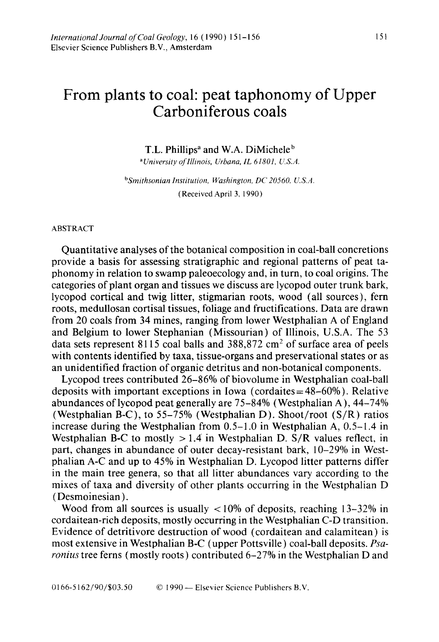# **From plants to coal: peat taphonomy of Upper Carboniferous coals**

T.L. Phillips<sup>a</sup> and W.A. DiMichele<sup>b</sup>

*aUniversity ofIllinois, Urbana, IL 61801, U.S.A.* 

*bSmithsonian Institution, Washington, DC20560, U.S.A.*  (Received April 3, 1990 )

ABSTRACT

Quantitative analyses of the botanical composition in coal-ball concretions provide a basis for assessing stratigraphic and regional patterns of peat taphonomy in relation to swamp paleoecology and, in turn, to coal origins. The categories of plant organ and tissues we discuss are lycopod outer trunk bark, lycopod cortical and twig litter, stigmarian roots, wood (all sources), fern roots, medullosan cortisal tissues, foliage and fructifications. Data are drawn from 20 coals from 34 mines, ranging from lower Westphalian A of England and Belgium to lower Stephanian (Missourian) of Illinois, U.S.A. The 53 data sets represent 8115 coal balls and  $388,872$  cm<sup>2</sup> of surface area of peels with contents identified by taxa, tissue-organs and preservational states or as an unidentified fraction of organic detritus and non-botanical components.

Lycopod trees contributed 26-86% of biovolume in Westphalian coal-ball deposits with important exceptions in Iowa (cordaites= $48-60%$ ). Relative abundances oflycopod peat generally are 75-84% (Westphalian A), 44-74% (Westphalian B-C), to 55-75% (Westphalian D). Shoot/root  $(S/R)$  ratios increase during the Westphalian from 0.5-1.0 in Westphalian A, 0.5-1.4 in Westphalian B-C to mostly  $> 1.4$  in Westphalian D. S/R values reflect, in part, changes in abundance of outer decay-resistant bark, 10-29% in Westphalian A-C and up to 45% in Westphalian D. Lycopod litter patterns differ in the main tree genera, so that all litter abundances vary according to the mixes of taxa and diversity of other plants occurring in the Westphalian D (Desmoinesian).

Wood from all sources is usually  $\langle 10\%$  of deposits, reaching 13-32% in cordaitean-rich deposits, mostly occurring in the Westphalian C-D transition. Evidence of detritivore destruction of wood (cordaitean and calamitean) is most extensive in Westphalian B-C (upper Pottsville) coal-ball deposits. *Psaronius* tree ferns (mostly roots) contributed 6-27% in the Westphalian D and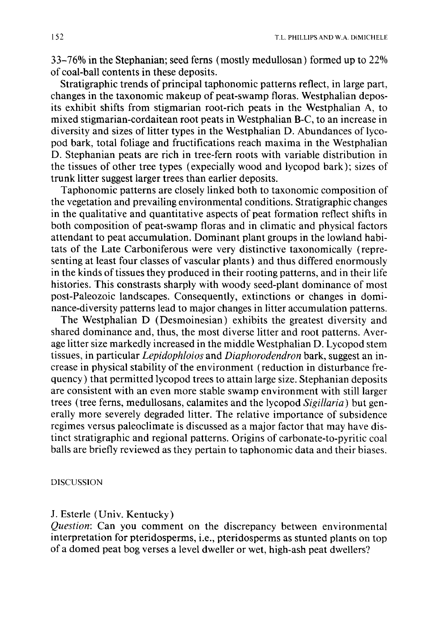33-76% in the Stephanian; seed ferns (mostly medullosan) formed up to 22% of coal-ball contents in these deposits.

Stratigraphic trends of principal taphonomic patterns reflect, in large part, changes in the taxonomic makeup of peat-swamp floras. Westphalian deposits exhibit shifts from stigmarian root-rich peats in the Westphalian A, to mixed stigmarian-cordaitean root peats in Westphalian B-C, to an increase in diversity and sizes of litter types in the Westphalian D. Abundances of lycopod bark, total foliage and fructifications reach maxima in the Westphalian D. Stephanian peats are rich in tree-fern roots with variable distribution in the tissues of other tree types (expecially wood and lycopod bark); sizes of trunk litter suggest larger trees than earlier deposits.

Taphonomic patterns are closely linked both to taxonomic composition of the vegetation and prevailing environmental conditions. Stratigraphic changes in the qualitative and quantitative aspects of peat formation reflect shifts in both composition of peat-swamp floras and in climatic and physical factors attendant to peat accumulation. Dominant plant groups in the lowland habitats of the Late Carboniferous were very distinctive taxonomically (representing at least four classes of vascular plants) and thus differed enormously in the kinds of tissues they produced in their rooting patterns, and in their life histories. This constrasts sharply with woody seed-plant dominance of most post-Paleozoic landscapes. Consequently, extinctions or changes in dominance-diversity patterns lead to major changes in litter accumulation patterns.

The Westphalian D (Desmoinesian) exhibits the greatest diversity and shared dominance and, thus, the most diverse litter and root patterns. Average litter size markedly increased in the middle Westphalian D. Lycopod stem tissues, in particular *Lepidophloios* and *Diaphorodendron* bark, suggest an increase in physical stability of the environment (reduction in disturbance frequency) that permitted lycopod trees to attain large size. Stephanian deposits are consistent with an even more stable swamp environment with still larger trees (tree ferns, medullosans, calamites and the lycopod *Sigillaria)* but generally more severely degraded litter. The relative importance of subsidence regimes versus paleoclimate is discussed as a major factor that may have distinct stratigraphic and regional patterns. Origins of carbonate-to-pyritic coal balls are briefly reviewed as they pertain to taphonomic data and their biases.

DISCUSSION

#### J. Esterle (Univ. Kentucky)

*Question:* Can you comment on the discrepancy between environmental interpretation for pteridosperms, i.e., pteridosperms as stunted plants on top of a domed peat bog verses a level dweller or wet, high-ash peat dwellers?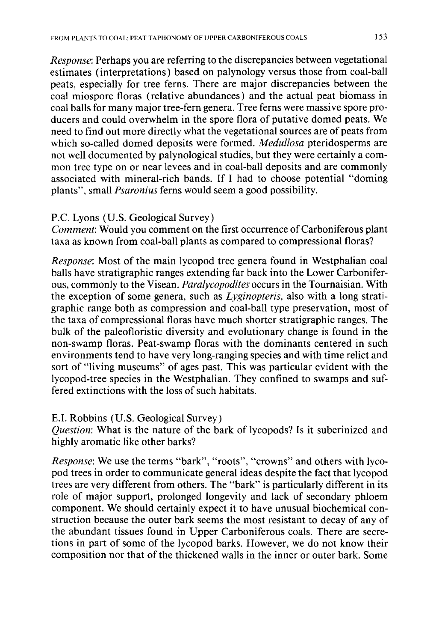*Response:* Perhaps you are referring to the discrepancies between vegetational estimates (interpretations) based on palynology versus those from coal-ball peats, especially for tree ferns. There are major discrepancies between the coal miospore floras (relative abundances) and the actual peat biomass in coal balls for many major tree-fern genera. Tree ferns were massive spore producers and could overwhelm in the spore flora of putative domed peats. We need to find out more directly what the vegetational sources are of peats from which so-called domed deposits were formed. *Medullosa* pteridosperms are not well documented by palynological studies, but they were certainly a common tree type on or near levees and in coal-ball deposits and are commonly associated with mineral-rich bands. If I had to choose potential "doming plants", small *Psaronius* ferns would seem a good possibility.

#### P.C. Lyons (U.S. Geological Survey)

*Comment:* Would you comment on the first occurrence of Carboniferous plant taxa as known from coal-ball plants as compared to compressional floras?

*Response:* Most of the main lycopod tree genera found in Westphalian coal balls have stratigraphic ranges extending far back into the Lower Carboniferous, commonly to the Visean. *Paralycopodites* occurs in the Tournaisian. With the exception of some genera, such as *Lyginopteris,* also with a long stratigraphic range both as compression and coal-ball type preservation, most of the taxa of compressional floras have much shorter stratigraphic ranges. The bulk of the paleofloristic diversity and evolutionary change is found in the non-swamp floras. Peat-swamp floras with the dominants centered in such environments tend to have very long-ranging species and with time relict and sort of "living museums" of ages past. This was particular evident with the lycopod-tree species in the Westphalian. They confined to swamps and suffered extinctions with the loss of such habitats.

#### E.I. Robbins (U.S. Geological Survey)

*Question:* What is the nature of the bark of lycopods? Is it suberinized and highly aromatic like other barks?

*Response:* We use the terms "bark", "roots", "crowns" and others with lycopod trees in order to communicate general ideas despite the fact that lycopod trees are very different from others. The "bark" is particularly different in its role of major support, prolonged longevity and lack of secondary phloem component. We should certainly expect it to have unusual biochemical construction because the outer bark seems the most resistant to decay of any of the abundant tissues found in Upper Carboniferous coals. There are secretions in part of some of the lycopod barks. However, we do not know their composition nor that of the thickened walls in the inner or outer bark. Some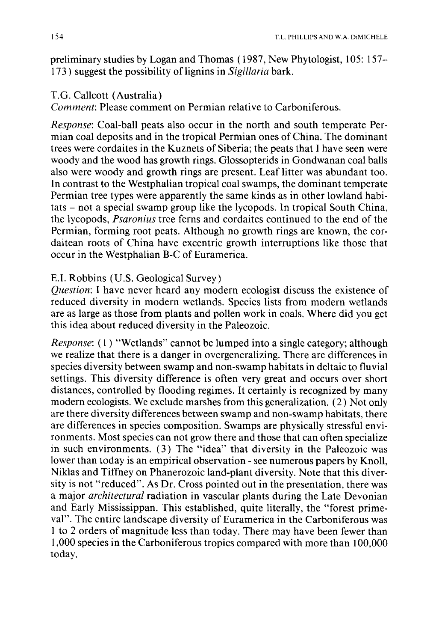preliminary studies by Logan and Thomas ( 1987, New Phytologist, 105:157- 173 ) suggest the possibility of lignins in *Sigillaria* bark.

### T.G. Callcott (Australia)

*Comment:* Please comment on Permian relative to Carboniferous.

*Response:* Coal-ball peats also occur in the north and south temperate Permian coal deposits and in the tropical Permian ones of China. The dominant trees were cordaites in the Kuznets of Siberia; the peats that I have seen were woody and the wood has growth rings. Glossopterids in Gondwanan coal balls also were woody and growth rings are present. Leaf litter was abundant too. In contrast to the Westphalian tropical coal swamps, the dominant temperate Permian tree types were apparently the same kinds as in other lowland habitats - not a special swamp group like the lycopods. In tropical South China, the lycopods, *Psaronius* tree ferns and cordaites continued to the end of the Permian, forming root peats. Although no growth rings are known, the cordaitean roots of China have excentric growth interruptions like those that occur in the Westphalian B-C of Euramerica.

## E.I. Robbins (U.S. Geological Survey)

*Question:* I have never heard any modern ecologist discuss the existence of reduced diversity in modern wetlands. Species lists from modern wetlands are as large as those from plants and pollen work in coals. Where did you get this idea about reduced diversity in the Paleozoic.

*Response*: (1) "Wetlands" cannot be lumped into a single category; although we realize that there is a danger in overgeneralizing. There are differences in species diversity between swamp and non-swamp habitats in deltaic to fluvial settings. This diversity difference is often very great and occurs over short distances, controlled by flooding regimes. It certainly is recognized by many modern ecologists. We exclude marshes from this generalization. (2) Not only are there diversity differences between swamp and non-swamp habitats, there are differences in species composition. Swamps are physically stressful environments. Most species can not grow there and those that can often specialize in such environments. (3) The "idea" that diversity in the Paleozoic was lower than today is an empirical observation - see numerous papers by Knoll, Niklas and Tiffney on Phanerozoic land-plant diversity. Note that this diversity is not "reduced". As Dr. Cross pointed out in the presentation, there was a major *architectural* radiation in vascular plants during the Late Devonian and Early Mississippan. This established, quite literally, the "forest primeval". The entire landscape diversity of Euramerica in the Carboniferous was 1 to 2 orders of magnitude less than today. There may have been fewer than 1,000 species in the Carboniferous tropics compared with more than 100,000 today.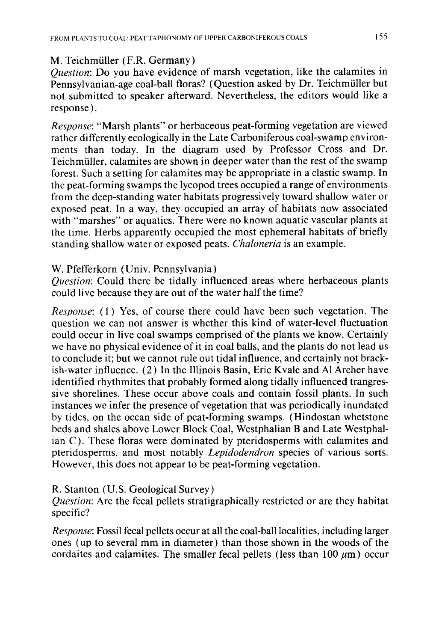### M. Teichmüller (F.R. Germany)

*Question:* Do you have evidence of marsh vegetation, like the calamites in Pennsylvanian-age coal-ball floras? (Question asked by Dr. Teichmüller but not submitted to speaker afterward. Nevertheless, the editors would like a response).

*Response:* "Marsh plants" or herbaceous peat-forming vegetation are viewed rather differently ecologically in the Late Carboniferous coal-swamp environments than today. In the diagram used by Professor Cross and Dr. Teichmiiller, calamites are shown in deeper water than the rest of the swamp forest. Such a setting for calamites may be appropriate in a clastic swamp. In the peat-forming swamps the lycopod trees occupied a range of environments from the deep-standing water habitats progressively toward shallow water or exposed peat. In a way, they occupied an array of habitats now associated with "marshes" or aquatics. There were no known aquatic vascular plants at the time. Herbs apparently occupied the most ephemeral habitats of briefly standing shallow water or exposed peats. *Chaloneria* is an example.

#### W. Pfefferkorn (Univ. Pennsylvania)

*Question:* Could there be tidally influenced areas where herbaceous plants could live because they are out of the water half the time?

*Response:* (1) Yes, of course there could have been such vegetation. The question we can not answer is whether this kind of water-level fluctuation could occur in live coal swamps comprised of the plants we know. Certainly we have no physical evidence of it in coal balls, and the plants do not lead us to conclude it; but we cannot rule out tidal influence, and certainly not brackish-water influence. (2) In the Illinois Basin, Eric Kvale and A1 Archer have identified rhythmites that probably formed along tidally influenced trangressive shorelines. These occur above coals and contain fossil plants. In such instances we infer the presence of vegetation that was periodically inundated by tides, on the ocean side of peat-forming swamps. (Hindostan whetstone beds and shales above Lower Block Coal, Westphalian B and Late Westphalian C). These floras were dominated by pteridosperms with calamites and pteridosperms, and most notably *Lepidodendron* species of various sorts. However, this does not appear to be peat-forming vegetation.

#### R. Stanton (U.S. Geological Survey)

*Question:* Are the fecal pellets stratigraphically restricted or are they habitat specific?

*Response:* Fossil fecal pellets occur at all the coal-ball localities, including larger ones (up to several mm in diameter) than those shown in the woods of the cordaites and calamites. The smaller fecal pellets (less than  $100 \mu m$ ) occur